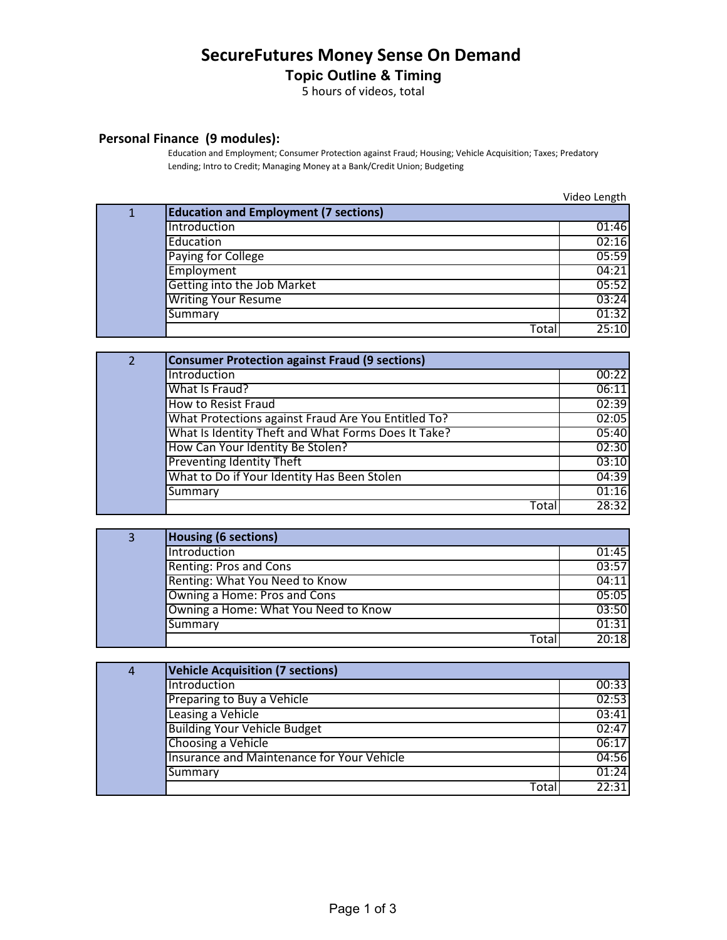## **SecureFutures Money Sense On Demand**

## **Topic Outline & Timing**

5 hours of videos, total

## **Personal Finance (9 modules):**

Education and Employment; Consumer Protection against Fraud; Housing; Vehicle Acquisition; Taxes; Predatory Lending; Intro to Credit; Managing Money at a Bank/Credit Union; Budgeting

Video Length

| $\mathbf{1}$ | <b>Education and Employment (7 sections)</b> |       |
|--------------|----------------------------------------------|-------|
|              | Introduction                                 | 01:46 |
|              | Education                                    | 02:16 |
|              | Paying for College                           | 05:59 |
|              | Employment                                   | 04:21 |
|              | Getting into the Job Market                  | 05:52 |
|              | <b>Writing Your Resume</b>                   | 03:24 |
|              | Summary                                      | 01:32 |
|              | Tota                                         | 25:10 |

| $\overline{2}$ | <b>Consumer Protection against Fraud (9 sections)</b> |       |
|----------------|-------------------------------------------------------|-------|
|                | Introduction                                          | 00:22 |
|                | What Is Fraud?                                        | 06:11 |
|                | <b>How to Resist Fraud</b>                            | 02:39 |
|                | What Protections against Fraud Are You Entitled To?   | 02:05 |
|                | What Is Identity Theft and What Forms Does It Take?   | 05:40 |
|                | How Can Your Identity Be Stolen?                      | 02:30 |
|                | <b>Preventing Identity Theft</b>                      | 03:10 |
|                | What to Do if Your Identity Has Been Stolen           | 04:39 |
|                | Summary                                               | 01:16 |
|                | Tota                                                  | 28:32 |

| 3 | <b>Housing (6 sections)</b>          |       |
|---|--------------------------------------|-------|
|   | Introduction                         | 01:45 |
|   | Renting: Pros and Cons               | 03:57 |
|   | Renting: What You Need to Know       | 04:11 |
|   | Owning a Home: Pros and Cons         | 05:05 |
|   | Owning a Home: What You Need to Know | 03:50 |
|   | Summary                              | 01:31 |
|   | Tota                                 | 20:18 |

| 4 | <b>Vehicle Acquisition (7 sections)</b>    |       |
|---|--------------------------------------------|-------|
|   | Introduction                               | 00:33 |
|   | Preparing to Buy a Vehicle                 | 02:53 |
|   | Leasing a Vehicle                          | 03:41 |
|   | <b>Building Your Vehicle Budget</b>        | 02:47 |
|   | Choosing a Vehicle                         | 06:17 |
|   | Insurance and Maintenance for Your Vehicle | 04:56 |
|   | Summary                                    | 01:24 |
|   | Total                                      | 22:31 |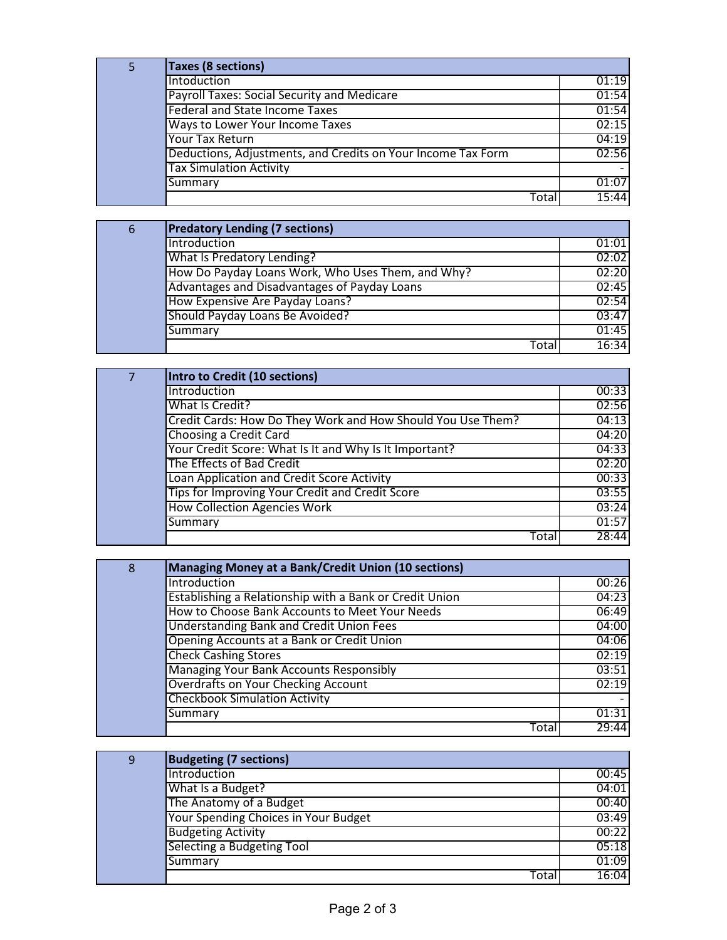| 5 | <b>Taxes (8 sections)</b>                                    |       |
|---|--------------------------------------------------------------|-------|
|   | Intoduction                                                  | 01:19 |
|   | Payroll Taxes: Social Security and Medicare                  | 01:54 |
|   | <b>Federal and State Income Taxes</b>                        | 01:54 |
|   | Ways to Lower Your Income Taxes                              | 02:15 |
|   | <b>Your Tax Return</b>                                       | 04:19 |
|   | Deductions, Adjustments, and Credits on Your Income Tax Form | 02:56 |
|   | <b>Tax Simulation Activity</b>                               |       |
|   | Summary                                                      | 01:07 |
|   | Tota                                                         | 15:44 |

| 6 | <b>Predatory Lending (7 sections)</b>             |       |
|---|---------------------------------------------------|-------|
|   | Introduction                                      | 01:01 |
|   | What Is Predatory Lending?                        | 02:02 |
|   | How Do Payday Loans Work, Who Uses Them, and Why? | 02:20 |
|   | Advantages and Disadvantages of Payday Loans      | 02:45 |
|   | How Expensive Are Payday Loans?                   | 02:54 |
|   | Should Payday Loans Be Avoided?                   | 03:47 |
|   | Summary                                           | 01:45 |
|   | Total                                             | 16:34 |

| 7 | Intro to Credit (10 sections)                               |       |
|---|-------------------------------------------------------------|-------|
|   | Introduction                                                | 00:33 |
|   | What Is Credit?                                             | 02:56 |
|   | Credit Cards: How Do They Work and How Should You Use Them? | 04:13 |
|   | Choosing a Credit Card                                      | 04:20 |
|   | Your Credit Score: What Is It and Why Is It Important?      | 04:33 |
|   | The Effects of Bad Credit                                   | 02:20 |
|   | Loan Application and Credit Score Activity                  | 00:33 |
|   | Tips for Improving Your Credit and Credit Score             | 03:55 |
|   | <b>How Collection Agencies Work</b>                         | 03:24 |
|   | Summary                                                     | 01:57 |
|   | Total                                                       | 28:44 |

| 8 | Managing Money at a Bank/Credit Union (10 sections)     |       |
|---|---------------------------------------------------------|-------|
|   | Introduction                                            | 00:26 |
|   | Establishing a Relationship with a Bank or Credit Union | 04:23 |
|   | How to Choose Bank Accounts to Meet Your Needs          | 06:49 |
|   | <b>Understanding Bank and Credit Union Fees</b>         | 04:00 |
|   | Opening Accounts at a Bank or Credit Union              | 04:06 |
|   | <b>Check Cashing Stores</b>                             | 02:19 |
|   | Managing Your Bank Accounts Responsibly                 | 03:51 |
|   | Overdrafts on Your Checking Account                     | 02:19 |
|   | <b>Checkbook Simulation Activity</b>                    |       |
|   | Summary                                                 | 01:31 |
|   | Tota                                                    | 29:44 |

| 9 | <b>Budgeting (7 sections)</b>        |       |
|---|--------------------------------------|-------|
|   | Introduction                         | 00:45 |
|   | What Is a Budget?                    | 04:01 |
|   | The Anatomy of a Budget              | 00:40 |
|   | Your Spending Choices in Your Budget | 03:49 |
|   | <b>Budgeting Activity</b>            | 00:22 |
|   | Selecting a Budgeting Tool           | 05:18 |
|   | Summary                              | 01:09 |
|   | Total                                | 16:04 |